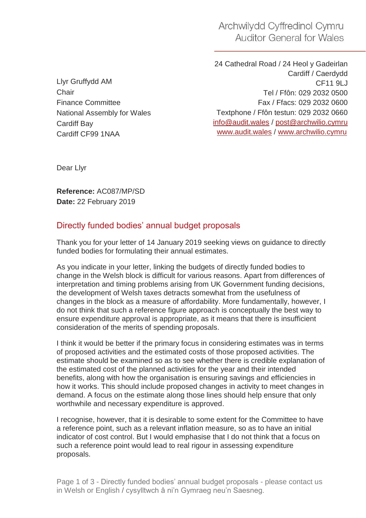Archwilydd Cyffredinol Cymru **Auditor General for Wales** 

Llyr Gruffydd AM **Chair** Finance Committee National Assembly for Wales Cardiff Bay Cardiff CF99 1NAA

24 Cathedral Road / 24 Heol y Gadeirlan Cardiff / Caerdydd CF11 9LJ Tel / Ffôn: 029 2032 0500 Fax / Ffacs: 029 2032 0600 Textphone / Ffôn testun: 029 2032 0660 [info@audit.wales](mailto:info@audit.wales) / post@archwilio.cymru [www.audit.wales](http://www.audit.wales/) / [www.archwilio.cymru](http://www.archwilio.cymru/)

Dear Llyr

**Reference:** AC087/MP/SD **Date:** 22 February 2019

## Directly funded bodies' annual budget proposals

Thank you for your letter of 14 January 2019 seeking views on guidance to directly funded bodies for formulating their annual estimates.

As you indicate in your letter, linking the budgets of directly funded bodies to change in the Welsh block is difficult for various reasons. Apart from differences of interpretation and timing problems arising from UK Government funding decisions, the development of Welsh taxes detracts somewhat from the usefulness of changes in the block as a measure of affordability. More fundamentally, however, I do not think that such a reference figure approach is conceptually the best way to ensure expenditure approval is appropriate, as it means that there is insufficient consideration of the merits of spending proposals.

I think it would be better if the primary focus in considering estimates was in terms of proposed activities and the estimated costs of those proposed activities. The estimate should be examined so as to see whether there is credible explanation of the estimated cost of the planned activities for the year and their intended benefits, along with how the organisation is ensuring savings and efficiencies in how it works. This should include proposed changes in activity to meet changes in demand. A focus on the estimate along those lines should help ensure that only worthwhile and necessary expenditure is approved.

I recognise, however, that it is desirable to some extent for the Committee to have a reference point, such as a relevant inflation measure, so as to have an initial indicator of cost control. But I would emphasise that I do not think that a focus on such a reference point would lead to real rigour in assessing expenditure proposals.

Page 1 of 3 - Directly funded bodies' annual budget proposals - please contact us in Welsh or English / cysylltwch â ni'n Gymraeg neu'n Saesneg.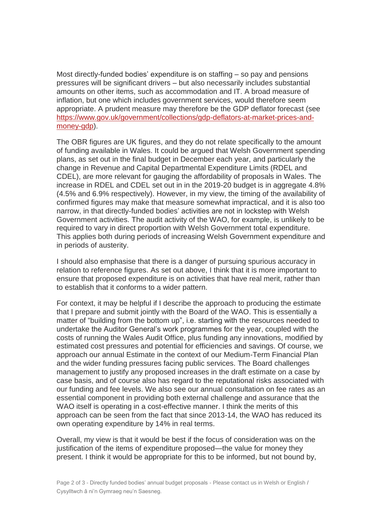Most directly-funded bodies' expenditure is on staffing – so pay and pensions pressures will be significant drivers – but also necessarily includes substantial amounts on other items, such as accommodation and IT. A broad measure of inflation, but one which includes government services, would therefore seem appropriate. A prudent measure may therefore be the GDP deflator forecast (see [https://www.gov.uk/government/collections/gdp-deflators-at-market-prices-and](https://www.gov.uk/government/collections/gdp-deflators-at-market-prices-and-money-gdp)[money-gdp\)](https://www.gov.uk/government/collections/gdp-deflators-at-market-prices-and-money-gdp).

The OBR figures are UK figures, and they do not relate specifically to the amount of funding available in Wales. It could be argued that Welsh Government spending plans, as set out in the final budget in December each year, and particularly the change in Revenue and Capital Departmental Expenditure Limits (RDEL and CDEL), are more relevant for gauging the affordability of proposals in Wales. The increase in RDEL and CDEL set out in in the 2019-20 budget is in aggregate 4.8% (4.5% and 6.9% respectively). However, in my view, the timing of the availability of confirmed figures may make that measure somewhat impractical, and it is also too narrow, in that directly-funded bodies' activities are not in lockstep with Welsh Government activities. The audit activity of the WAO, for example, is unlikely to be required to vary in direct proportion with Welsh Government total expenditure. This applies both during periods of increasing Welsh Government expenditure and in periods of austerity.

I should also emphasise that there is a danger of pursuing spurious accuracy in relation to reference figures. As set out above, I think that it is more important to ensure that proposed expenditure is on activities that have real merit, rather than to establish that it conforms to a wider pattern.

For context, it may be helpful if I describe the approach to producing the estimate that I prepare and submit jointly with the Board of the WAO. This is essentially a matter of "building from the bottom up", i.e. starting with the resources needed to undertake the Auditor General's work programmes for the year, coupled with the costs of running the Wales Audit Office, plus funding any innovations, modified by estimated cost pressures and potential for efficiencies and savings. Of course, we approach our annual Estimate in the context of our Medium-Term Financial Plan and the wider funding pressures facing public services. The Board challenges management to justify any proposed increases in the draft estimate on a case by case basis, and of course also has regard to the reputational risks associated with our funding and fee levels. We also see our annual consultation on fee rates as an essential component in providing both external challenge and assurance that the WAO itself is operating in a cost-effective manner. I think the merits of this approach can be seen from the fact that since 2013-14, the WAO has reduced its own operating expenditure by 14% in real terms.

Overall, my view is that it would be best if the focus of consideration was on the justification of the items of expenditure proposed—the value for money they present. I think it would be appropriate for this to be informed, but not bound by,